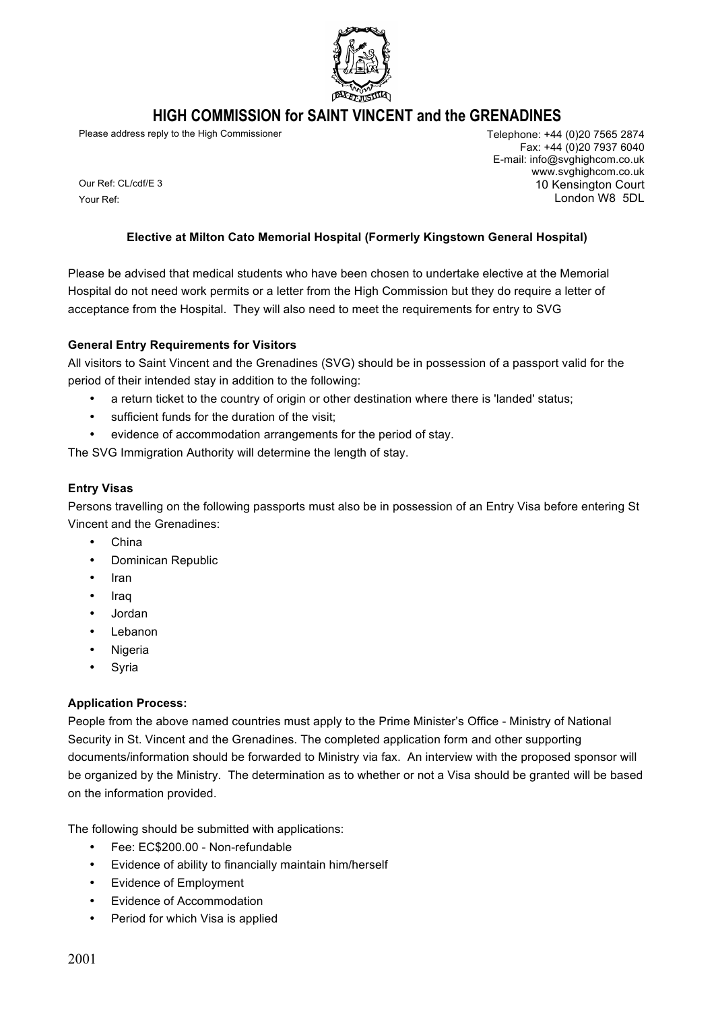

# **HIGH COMMISSION for SAINT VINCENT and the GRENADINES**

Please address reply to the High Commissioner Telephone: +44 (0)20 7565 2874

Fax: +44 (0)20 7937 6040 E-mail: info@svghighcom.co.uk www.svghighcom.co.uk 10 Kensington Court London W8 5DL

Your Ref:

Our Ref: CL/cdf/E 3

#### **Elective at Milton Cato Memorial Hospital (Formerly Kingstown General Hospital)**

Please be advised that medical students who have been chosen to undertake elective at the Memorial Hospital do not need work permits or a letter from the High Commission but they do require a letter of acceptance from the Hospital. They will also need to meet the requirements for entry to SVG

## **General Entry Requirements for Visitors**

All visitors to Saint Vincent and the Grenadines (SVG) should be in possession of a passport valid for the period of their intended stay in addition to the following:

- a return ticket to the country of origin or other destination where there is 'landed' status;
- sufficient funds for the duration of the visit;
- evidence of accommodation arrangements for the period of stay.

The SVG Immigration Authority will determine the length of stay.

#### **Entry Visas**

Persons travelling on the following passports must also be in possession of an Entry Visa before entering St Vincent and the Grenadines:

- China
- Dominican Republic
- Iran
- Iraq
- Jordan
- **Lebanon**
- Nigeria
- Syria

## **Application Process:**

People from the above named countries must apply to the Prime Minister's Office - Ministry of National Security in St. Vincent and the Grenadines. The completed application form and other supporting documents/information should be forwarded to Ministry via fax. An interview with the proposed sponsor will be organized by the Ministry. The determination as to whether or not a Visa should be granted will be based on the information provided.

The following should be submitted with applications:

- Fee: EC\$200.00 Non-refundable
- Evidence of ability to financially maintain him/herself
- Evidence of Employment
- Evidence of Accommodation
- Period for which Visa is applied